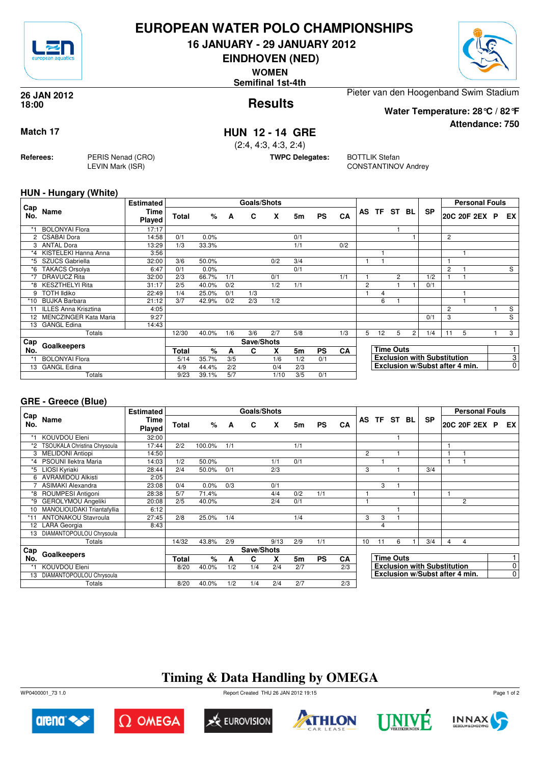

## **EUROPEAN WATER POLO CHAMPIONSHIPS**

**16 JANUARY - 29 JANUARY 2012**

**EINDHOVEN (NED)**

**WOMEN**

**Semifinal 1st-4th**



**Attendance: 750**

**Results 26 JAN 2012 18:00**

Pieter van den Hoogenband Swim Stadium

**Water Temperature: 28°C / 82°F**

### **Match 17 HUN 12 - 14 GRE**

(2:4, 4:3, 4:3, 2:4)

**TWPC Delegates:** BOTTLIK Stefan

CONSTANTINOV Andrey

#### **HUN - Hungary (White)**

**Referees:** PERIS Nenad (CRO)

LEVIN Mark (ISR)

|                 |                              | <b>Estimated</b> |       |       |     | <b>Goals/Shots</b> |      |     |           |           |                  |       |                |                |                                    |                | <b>Personal Fouls</b> |   |                |
|-----------------|------------------------------|------------------|-------|-------|-----|--------------------|------|-----|-----------|-----------|------------------|-------|----------------|----------------|------------------------------------|----------------|-----------------------|---|----------------|
| ∟Cap<br>No.     | Name                         | Time<br>Played   | Total | %     | A   | C                  | X    | 5m  | <b>PS</b> | <b>CA</b> |                  | AS TF | ST BL          |                | <b>SP</b>                          |                | 20C 20F 2EX           | P | EX             |
| *1              | <b>BOLONYAl Flora</b>        | 17:17            |       |       |     |                    |      |     |           |           |                  |       |                |                |                                    |                |                       |   |                |
|                 | 2 CSABAI Dora                | 14:58            | 0/1   | 0.0%  |     |                    |      | 0/1 |           |           |                  |       |                |                |                                    | 2              |                       |   |                |
| 3               | ANTAL Dora                   | 13:29            | 1/3   | 33.3% |     |                    |      | 1/1 |           | 0/2       |                  |       |                |                |                                    |                |                       |   |                |
| $^*4$           | KISTELEKI Hanna Anna         | 3:56             |       |       |     |                    |      |     |           |           |                  |       |                |                |                                    |                |                       |   |                |
| *5              | <b>SZUCS Gabriella</b>       | 32:00            | 3/6   | 50.0% |     |                    | 0/2  | 3/4 |           |           |                  |       |                |                |                                    |                |                       |   |                |
| *6              | <b>TAKACS Orsolya</b>        | 6:47             | 0/1   | 0.0%  |     |                    |      | 0/1 |           |           |                  |       |                |                |                                    | $\overline{2}$ |                       |   | S              |
| $*7$            | <b>DRAVUCZ Rita</b>          | 32:00            | 2/3   | 66.7% | 1/1 |                    | 0/1  |     |           | 1/1       |                  |       | $\overline{2}$ |                | 1/2                                |                |                       |   |                |
| *8              | <b>KESZTHELYI Rita</b>       | 31:17            | 2/5   | 40.0% | 0/2 |                    | 1/2  | 1/1 |           |           | 2                |       |                |                | 0/1                                |                |                       |   |                |
| 9               | <b>TOTH Ildiko</b>           | 22:49            | 1/4   | 25.0% | 0/1 | 1/3                |      |     |           |           |                  | 4     |                |                |                                    |                |                       |   |                |
| *10             | <b>BUJKA Barbara</b>         | 21:12            | 3/7   | 42.9% | 0/2 | 2/3                | 1/2  |     |           |           |                  | 6     |                |                |                                    |                |                       |   |                |
|                 | 11 ILLES Anna Krisztina      | 4:05             |       |       |     |                    |      |     |           |           |                  |       |                |                |                                    | 2              |                       |   | $\overline{s}$ |
| 12 <sup>2</sup> | <b>MENCZINGER Kata Maria</b> | 9:27             |       |       |     |                    |      |     |           |           |                  |       |                |                | 0/1                                | 3              |                       |   | S              |
| 13              | <b>GANGL Edina</b>           | 14:43            |       |       |     |                    |      |     |           |           |                  |       |                |                |                                    |                |                       |   |                |
|                 | Totals                       |                  | 12/30 | 40.0% | 1/6 | 3/6                | 2/7  | 5/8 |           | 1/3       | 5                | 12    | 5              | $\overline{2}$ | 1/4                                | 11             | 5                     |   | 3              |
| Cap             | Goalkeepers<br>No.           |                  |       |       |     | Save/Shots         |      |     |           |           |                  |       |                |                |                                    |                |                       |   |                |
|                 |                              |                  |       | %     | A   | C                  | X    | 5m  | <b>PS</b> | <b>CA</b> | <b>Time Outs</b> |       |                |                |                                    |                |                       |   |                |
|                 | <b>BOLONYAl Flora</b>        |                  | 5/14  | 35.7% | 3/5 |                    | 1/6  | 1/2 | 0/1       |           |                  |       |                |                | <b>Exclusion with Substitution</b> |                |                       |   | 3              |
| 13              | <b>GANGL Edina</b>           |                  | 4/9   | 44.4% | 2/2 |                    | 0/4  | 2/3 |           |           |                  |       |                |                | Exclusion w/Subst after 4 min.     |                |                       |   | $\mathbf 0$    |
|                 | Totals                       |                  | 9/23  | 39.1% | 5/7 |                    | 1/10 | 3/5 | 0/1       |           |                  |       |                |                |                                    |                |                       |   |                |

#### **GRE - Greece (Blue)**

|            |                              | <b>Estimated</b>      |       |        |     | Goals/Shots |      |     |           |           |    |           |                  |    |                                    |                | <b>Personal Fouls</b>          |             |
|------------|------------------------------|-----------------------|-------|--------|-----|-------------|------|-----|-----------|-----------|----|-----------|------------------|----|------------------------------------|----------------|--------------------------------|-------------|
| Cap<br>No. | Name                         | Time<br><b>Played</b> | Total | $\%$   | A   | C           | X    | 5m  | <b>PS</b> | CA        | AS | <b>TF</b> | ST               | BL | <b>SP</b>                          |                | 20C 20F 2EX P                  | EX.         |
|            | KOUVDOU Eleni                | 32:00                 |       |        |     |             |      |     |           |           |    |           |                  |    |                                    |                |                                |             |
| *2         | TSOUKALA Christina Chrysoula | 17:44                 | 2/2   | 100.0% | 1/1 |             |      | 1/1 |           |           |    |           |                  |    |                                    |                |                                |             |
| 3          | <b>MELIDONI Antiopi</b>      | 14:50                 |       |        |     |             |      |     |           |           | 2  |           |                  |    |                                    |                |                                |             |
| *4         | PSOUNI llektra Maria         | 14:03                 | 1/2   | 50.0%  |     |             | 1/1  | 0/1 |           |           |    |           |                  |    |                                    | 1              |                                |             |
| *5         | LIOSI Kyriaki                | 28:44                 | 2/4   | 50.0%  | 0/1 |             | 2/3  |     |           |           | 3  |           |                  |    | 3/4                                |                |                                |             |
| 6          | <b>AVRAMIDOU Alkisti</b>     | 2:05                  |       |        |     |             |      |     |           |           |    |           |                  |    |                                    |                |                                |             |
|            | <b>ASIMAKI Alexandra</b>     | 23:08                 | 0/4   | 0.0%   | 0/3 |             | 0/1  |     |           |           |    | 3         |                  |    |                                    |                |                                |             |
| *8         | ROUMPESI Antigoni            | 28:38                 | 5/7   | 71.4%  |     |             | 4/4  | 0/2 | 1/1       |           |    |           |                  |    |                                    |                |                                |             |
| *9         | <b>GEROLYMOU Angeliki</b>    | 20:08                 | 2/5   | 40.0%  |     |             | 2/4  | 0/1 |           |           |    |           |                  |    |                                    |                | $\overline{2}$                 |             |
| 10         | MANOLIOUDAKI Triantafyllia   | 6:12                  |       |        |     |             |      |     |           |           |    |           |                  |    |                                    |                |                                |             |
|            | <b>ANTONAKOU Stavroula</b>   | 27:45                 | 2/8   | 25.0%  | 1/4 |             |      | 1/4 |           |           | 3  | 3         |                  |    |                                    |                |                                |             |
|            | 12 LARA Georgia              | 8:43                  |       |        |     |             |      |     |           |           |    | 4         |                  |    |                                    |                |                                |             |
| 13         | DIAMANTOPOULOU Chrysoula     |                       |       |        |     |             |      |     |           |           |    |           |                  |    |                                    |                |                                |             |
|            | Totals                       |                       | 14/32 | 43.8%  | 2/9 |             | 9/13 | 2/9 | 1/1       |           | 10 | 11        | 6                |    | 3/4                                | $\overline{4}$ | $\overline{4}$                 |             |
| Cap        |                              |                       |       |        |     | Save/Shots  |      |     |           |           |    |           |                  |    |                                    |                |                                |             |
| No.        | Goalkeepers                  |                       | Total | %      | А   | C           | X    | 5m  | <b>PS</b> | <b>CA</b> |    |           | <b>Time Outs</b> |    |                                    |                |                                |             |
|            | <b>KOUVDOU Eleni</b>         |                       | 8/20  | 40.0%  | 1/2 | 1/4         | 2/4  | 2/7 |           | 2/3       |    |           |                  |    | <b>Exclusion with Substitution</b> |                |                                | 0           |
| 13         | DIAMANTOPOULOU Chrysoula     |                       |       |        |     |             |      |     |           |           |    |           |                  |    |                                    |                | Exclusion w/Subst after 4 min. | $\mathbf 0$ |
|            | Totals                       |                       | 8/20  | 40.0%  | 1/2 | 1/4         | 2/4  | 2/7 |           | 2/3       |    |           |                  |    |                                    |                |                                |             |

# **Timing & Data Handling by OMEGA**

WP0400001\_73 1.0 Report Created THU 26 JAN 2012 19:15













Page 1 of 2